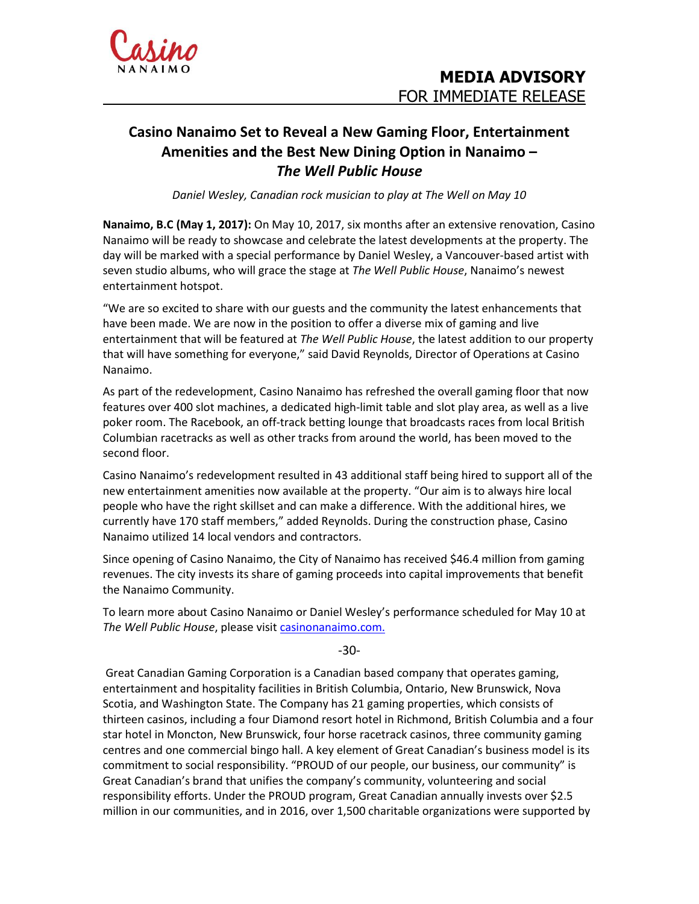

## **Casino Nanaimo Set to Reveal a New Gaming Floor, Entertainment Amenities and the Best New Dining Option in Nanaimo –** *The Well Public House*

*Daniel Wesley, Canadian rock musician to play at The Well on May 10*

**Nanaimo, B.C (May 1, 2017):** On May 10, 2017, six months after an extensive renovation, Casino Nanaimo will be ready to showcase and celebrate the latest developments at the property. The day will be marked with a special performance by Daniel Wesley, a Vancouver-based artist with seven studio albums, who will grace the stage at *The Well Public House*, Nanaimo's newest entertainment hotspot.

"We are so excited to share with our guests and the community the latest enhancements that have been made. We are now in the position to offer a diverse mix of gaming and live entertainment that will be featured at *The Well Public House*, the latest addition to our property that will have something for everyone," said David Reynolds, Director of Operations at Casino Nanaimo.

As part of the redevelopment, Casino Nanaimo has refreshed the overall gaming floor that now features over 400 slot machines, a dedicated high-limit table and slot play area, as well as a live poker room. The Racebook, an off-track betting lounge that broadcasts races from local British Columbian racetracks as well as other tracks from around the world, has been moved to the second floor.

Casino Nanaimo's redevelopment resulted in 43 additional staff being hired to support all of the new entertainment amenities now available at the property. "Our aim is to always hire local people who have the right skillset and can make a difference. With the additional hires, we currently have 170 staff members," added Reynolds. During the construction phase, Casino Nanaimo utilized 14 local vendors and contractors.

Since opening of Casino Nanaimo, the City of Nanaimo has received \$46.4 million from gaming revenues. The city invests its share of gaming proceeds into capital improvements that benefit the Nanaimo Community.

To learn more about Casino Nanaimo or Daniel Wesley's performance scheduled for May 10 at *The Well Public House*, please visit [casinonanaimo.com.](http://www.casinonanaimo.com/)

-30-

Great Canadian Gaming Corporation is a Canadian based company that operates gaming, entertainment and hospitality facilities in British Columbia, Ontario, New Brunswick, Nova Scotia, and Washington State. The Company has 21 gaming properties, which consists of thirteen casinos, including a four Diamond resort hotel in Richmond, British Columbia and a four star hotel in Moncton, New Brunswick, four horse racetrack casinos, three community gaming centres and one commercial bingo hall. A key element of Great Canadian's business model is its commitment to social responsibility. "PROUD of our people, our business, our community" is Great Canadian's brand that unifies the company's community, volunteering and social responsibility efforts. Under the PROUD program, Great Canadian annually invests over \$2.5 million in our communities, and in 2016, over 1,500 charitable organizations were supported by